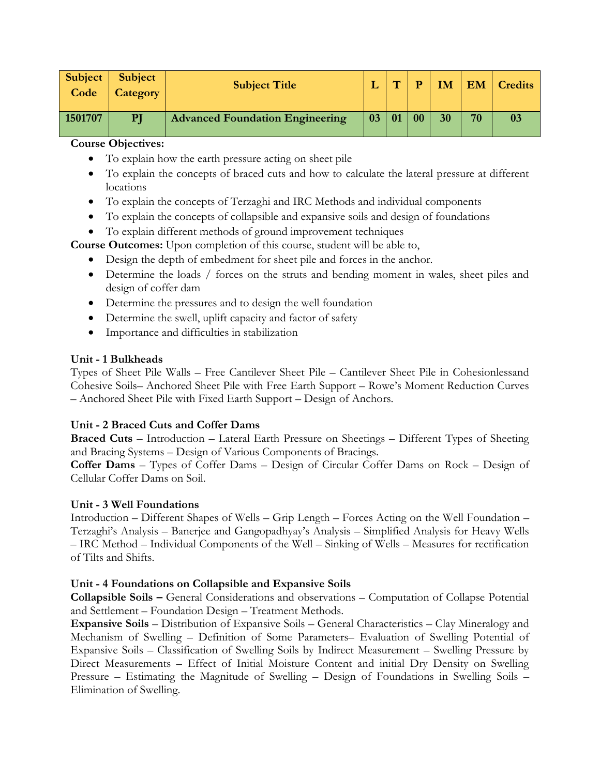| Subject<br>Code | Subject<br><b>Category</b> | <b>Subject Title</b>                   |    | $\overline{r}$ |    | <b>IM</b> |    | <b>EM</b> Credits |
|-----------------|----------------------------|----------------------------------------|----|----------------|----|-----------|----|-------------------|
| 1501707         | PI                         | <b>Advanced Foundation Engineering</b> | 03 | 01             | 00 | 30        | 70 | 03                |

- To explain how the earth pressure acting on sheet pile
- To explain the concepts of braced cuts and how to calculate the lateral pressure at different locations
- To explain the concepts of Terzaghi and IRC Methods and individual components
- To explain the concepts of collapsible and expansive soils and design of foundations
- To explain different methods of ground improvement techniques

**Course Outcomes:** Upon completion of this course, student will be able to,

- Design the depth of embedment for sheet pile and forces in the anchor.
- Determine the loads / forces on the struts and bending moment in wales, sheet piles and design of coffer dam
- Determine the pressures and to design the well foundation
- Determine the swell, uplift capacity and factor of safety
- Importance and difficulties in stabilization

## **Unit - 1 Bulkheads**

Types of Sheet Pile Walls – Free Cantilever Sheet Pile – Cantilever Sheet Pile in Cohesionlessand Cohesive Soils– Anchored Sheet Pile with Free Earth Support – Rowe's Moment Reduction Curves – Anchored Sheet Pile with Fixed Earth Support – Design of Anchors.

# **Unit - 2 Braced Cuts and Coffer Dams**

**Braced Cuts** – Introduction – Lateral Earth Pressure on Sheetings – Different Types of Sheeting and Bracing Systems – Design of Various Components of Bracings.

**Coffer Dams** – Types of Coffer Dams – Design of Circular Coffer Dams on Rock – Design of Cellular Coffer Dams on Soil.

# **Unit - 3 Well Foundations**

Introduction – Different Shapes of Wells – Grip Length – Forces Acting on the Well Foundation – Terzaghi's Analysis – Banerjee and Gangopadhyay's Analysis – Simplified Analysis for Heavy Wells – IRC Method – Individual Components of the Well – Sinking of Wells – Measures for rectification of Tilts and Shifts.

# **Unit - 4 Foundations on Collapsible and Expansive Soils**

**Collapsible Soils –** General Considerations and observations – Computation of Collapse Potential and Settlement – Foundation Design – Treatment Methods.

**Expansive Soils** – Distribution of Expansive Soils – General Characteristics – Clay Mineralogy and Mechanism of Swelling – Definition of Some Parameters– Evaluation of Swelling Potential of Expansive Soils – Classification of Swelling Soils by Indirect Measurement – Swelling Pressure by Direct Measurements – Effect of Initial Moisture Content and initial Dry Density on Swelling Pressure – Estimating the Magnitude of Swelling – Design of Foundations in Swelling Soils – Elimination of Swelling.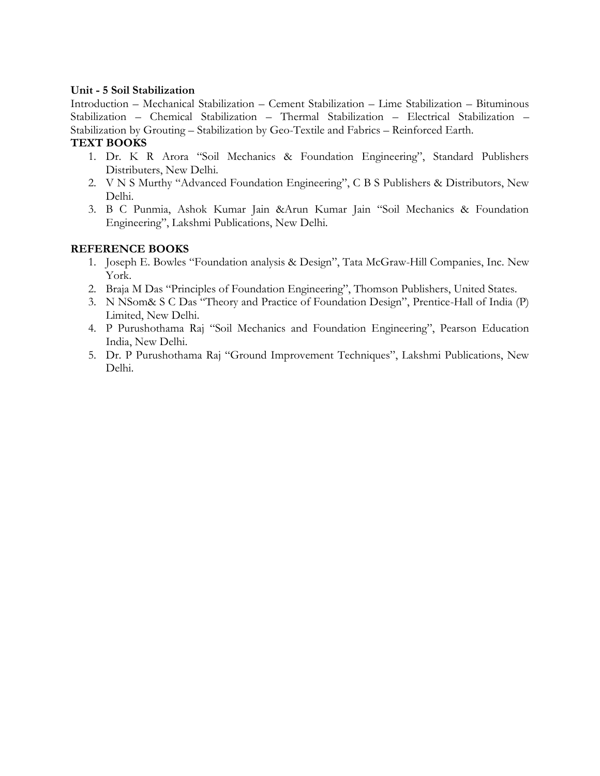#### **Unit - 5 Soil Stabilization**

Introduction – Mechanical Stabilization – Cement Stabilization – Lime Stabilization – Bituminous Stabilization – Chemical Stabilization – Thermal Stabilization – Electrical Stabilization – Stabilization by Grouting – Stabilization by Geo-Textile and Fabrics – Reinforced Earth.

## **TEXT BOOKS**

- 1. Dr. K R Arora "Soil Mechanics & Foundation Engineering", Standard Publishers Distributers, New Delhi.
- 2. V N S Murthy "Advanced Foundation Engineering", C B S Publishers & Distributors, New Delhi.
- 3. B C Punmia, Ashok Kumar Jain &Arun Kumar Jain "Soil Mechanics & Foundation Engineering", Lakshmi Publications, New Delhi.

- 1. Joseph E. Bowles "Foundation analysis & Design", Tata McGraw-Hill Companies, Inc. New York.
- 2. Braja M Das "Principles of Foundation Engineering", Thomson Publishers, United States.
- 3. N NSom& S C Das "Theory and Practice of Foundation Design", Prentice-Hall of India (P) Limited, New Delhi.
- 4. P Purushothama Raj "Soil Mechanics and Foundation Engineering", Pearson Education India, New Delhi.
- 5. Dr. P Purushothama Raj "Ground Improvement Techniques", Lakshmi Publications, New Delhi.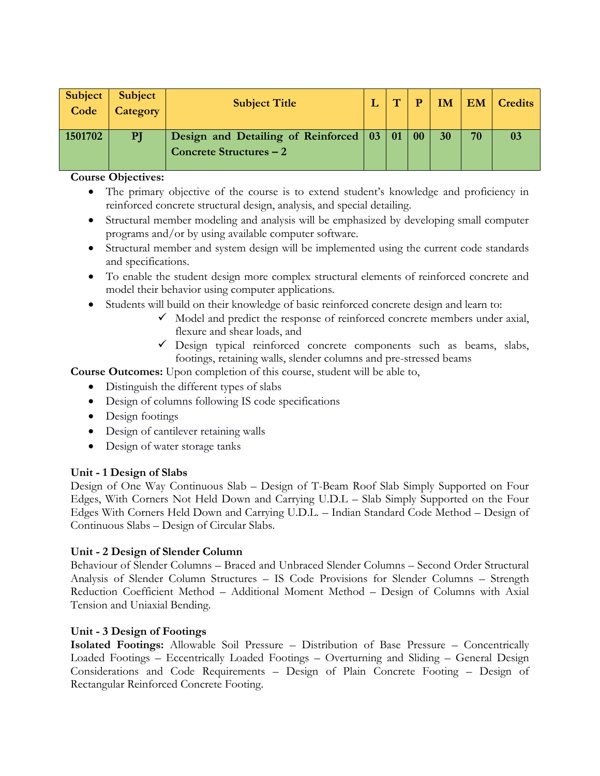| <b>Subject</b> | Subject  | <b>Subject Title</b>                              | $\overline{r}$ | D | <b>IM</b> |    | <b>EM</b> Credits |
|----------------|----------|---------------------------------------------------|----------------|---|-----------|----|-------------------|
| Code           | Category |                                                   |                |   |           |    |                   |
|                |          |                                                   |                |   |           |    |                   |
| 1501702        | PJ       | Design and Detailing of Reinforced   03   01   00 |                |   | 30        | 70 |                   |
|                |          | Concrete Structures – 2                           |                |   |           |    |                   |
|                |          |                                                   |                |   |           |    |                   |

- The primary objective of the course is to extend student's knowledge and proficiency in reinforced concrete structural design, analysis, and special detailing.
- Structural member modeling and analysis will be emphasized by developing small computer programs and/or by using available computer software.
- Structural member and system design will be implemented using the current code standards and specifications.
- To enable the student design more complex structural elements of reinforced concrete and model their behavior using computer applications.
- Students will build on their knowledge of basic reinforced concrete design and learn to:
	- $\checkmark$  Model and predict the response of reinforced concrete members under axial, flexure and shear loads, and
	- $\checkmark$  Design typical reinforced concrete components such as beams, slabs, footings, retaining walls, slender columns and pre-stressed beams

**Course Outcomes:** Upon completion of this course, student will be able to,

- Distinguish the different types of slabs
- Design of columns following IS code specifications
- Design footings
- Design of cantilever retaining walls
- Design of water storage tanks

## **Unit - 1 Design of Slabs**

Design of One Way Continuous Slab – Design of T-Beam Roof Slab Simply Supported on Four Edges, With Corners Not Held Down and Carrying U.D.L – Slab Simply Supported on the Four Edges With Corners Held Down and Carrying U.D.L. – Indian Standard Code Method – Design of Continuous Slabs – Design of Circular Slabs.

## **Unit - 2 Design of Slender Column**

Behaviour of Slender Columns – Braced and Unbraced Slender Columns – Second Order Structural Analysis of Slender Column Structures – IS Code Provisions for Slender Columns – Strength Reduction Coefficient Method – Additional Moment Method – Design of Columns with Axial Tension and Uniaxial Bending.

## **Unit - 3 Design of Footings**

**Isolated Footings:** Allowable Soil Pressure – Distribution of Base Pressure – Concentrically Loaded Footings – Eccentrically Loaded Footings – Overturning and Sliding – General Design Considerations and Code Requirements – Design of Plain Concrete Footing – Design of Rectangular Reinforced Concrete Footing.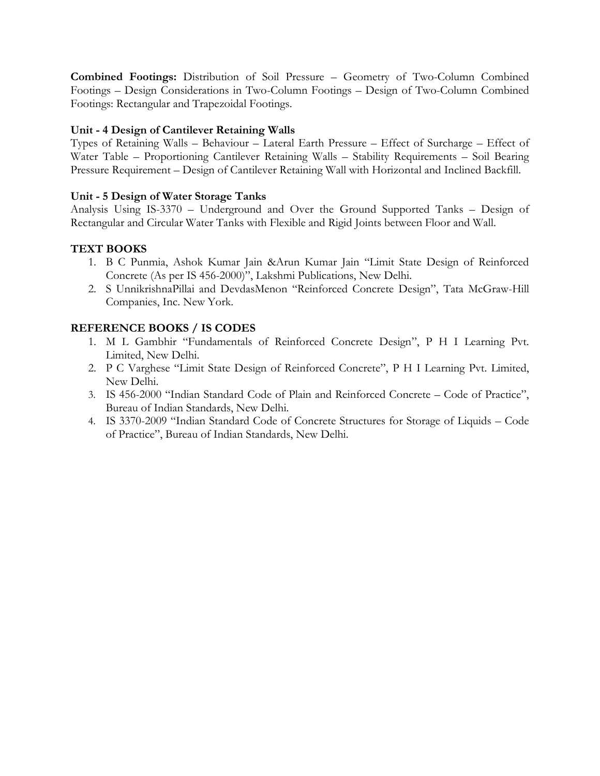**Combined Footings:** Distribution of Soil Pressure – Geometry of Two-Column Combined Footings – Design Considerations in Two-Column Footings – Design of Two-Column Combined Footings: Rectangular and Trapezoidal Footings.

## **Unit - 4 Design of Cantilever Retaining Walls**

Types of Retaining Walls – Behaviour – Lateral Earth Pressure – Effect of Surcharge – Effect of Water Table – Proportioning Cantilever Retaining Walls – Stability Requirements – Soil Bearing Pressure Requirement – Design of Cantilever Retaining Wall with Horizontal and Inclined Backfill.

## **Unit - 5 Design of Water Storage Tanks**

Analysis Using IS-3370 – Underground and Over the Ground Supported Tanks – Design of Rectangular and Circular Water Tanks with Flexible and Rigid Joints between Floor and Wall.

# **TEXT BOOKS**

- 1. B C Punmia, Ashok Kumar Jain &Arun Kumar Jain "Limit State Design of Reinforced Concrete (As per IS 456-2000)", Lakshmi Publications, New Delhi.
- 2. S UnnikrishnaPillai and DevdasMenon "Reinforced Concrete Design", Tata McGraw-Hill Companies, Inc. New York.

## **REFERENCE BOOKS / IS CODES**

- 1. M L Gambhir "Fundamentals of Reinforced Concrete Design", P H I Learning Pvt. Limited, New Delhi.
- 2. P C Varghese "Limit State Design of Reinforced Concrete", P H I Learning Pvt. Limited, New Delhi.
- 3. IS 456-2000 "Indian Standard Code of Plain and Reinforced Concrete Code of Practice", Bureau of Indian Standards, New Delhi.
- 4. IS 3370-2009 "Indian Standard Code of Concrete Structures for Storage of Liquids Code of Practice", Bureau of Indian Standards, New Delhi.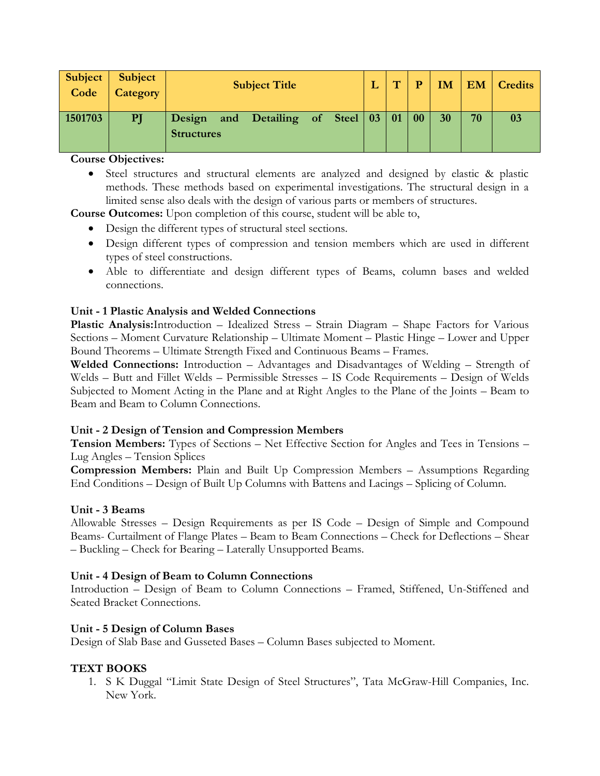| <b>Subject</b><br>Code | Subject<br>Category |                             | <b>Subject Title</b>         |  | $\mathbf{H}$ | D                |    |    | IM   EM   Credits |
|------------------------|---------------------|-----------------------------|------------------------------|--|--------------|------------------|----|----|-------------------|
| 1501703                | PI                  | Design<br><b>Structures</b> | and Detailing of Steel 03 01 |  |              | $\vert 00 \vert$ | 30 | 70 |                   |

 Steel structures and structural elements are analyzed and designed by elastic & plastic methods. These methods based on experimental investigations. The structural design in a limited sense also deals with the design of various parts or members of structures.

**Course Outcomes:** Upon completion of this course, student will be able to,

- Design the different types of structural steel sections.
- Design different types of compression and tension members which are used in different types of steel constructions.
- Able to differentiate and design different types of Beams, column bases and welded connections.

## **Unit - 1 Plastic Analysis and Welded Connections**

**Plastic Analysis:**Introduction – Idealized Stress – Strain Diagram – Shape Factors for Various Sections – Moment Curvature Relationship – Ultimate Moment – Plastic Hinge – Lower and Upper Bound Theorems – Ultimate Strength Fixed and Continuous Beams – Frames.

**Welded Connections:** Introduction – Advantages and Disadvantages of Welding – Strength of Welds – Butt and Fillet Welds – Permissible Stresses – IS Code Requirements – Design of Welds Subjected to Moment Acting in the Plane and at Right Angles to the Plane of the Joints – Beam to Beam and Beam to Column Connections.

## **Unit - 2 Design of Tension and Compression Members**

**Tension Members:** Types of Sections – Net Effective Section for Angles and Tees in Tensions – Lug Angles – Tension Splices

**Compression Members:** Plain and Built Up Compression Members – Assumptions Regarding End Conditions – Design of Built Up Columns with Battens and Lacings – Splicing of Column.

## **Unit - 3 Beams**

Allowable Stresses – Design Requirements as per IS Code – Design of Simple and Compound Beams- Curtailment of Flange Plates – Beam to Beam Connections – Check for Deflections – Shear – Buckling – Check for Bearing – Laterally Unsupported Beams.

## **Unit - 4 Design of Beam to Column Connections**

Introduction – Design of Beam to Column Connections – Framed, Stiffened, Un-Stiffened and Seated Bracket Connections.

## **Unit - 5 Design of Column Bases**

Design of Slab Base and Gusseted Bases – Column Bases subjected to Moment.

# **TEXT BOOKS**

1. S K Duggal "Limit State Design of Steel Structures", Tata McGraw-Hill Companies, Inc. New York.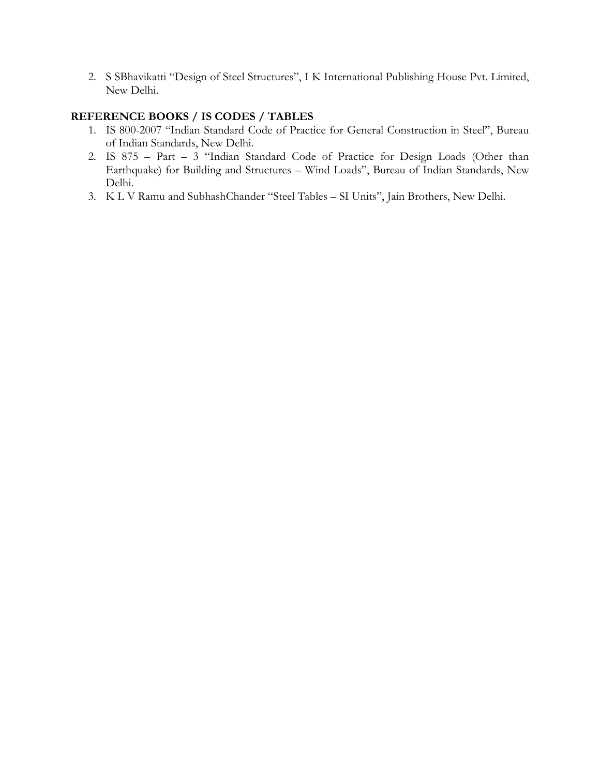2. S SBhavikatti "Design of Steel Structures", I K International Publishing House Pvt. Limited, New Delhi.

#### **REFERENCE BOOKS / IS CODES / TABLES**

- 1. IS 800-2007 "Indian Standard Code of Practice for General Construction in Steel", Bureau of Indian Standards, New Delhi.
- 2. IS 875 Part 3 "Indian Standard Code of Practice for Design Loads (Other than Earthquake) for Building and Structures – Wind Loads", Bureau of Indian Standards, New Delhi.
- 3. K L V Ramu and SubhashChander "Steel Tables SI Units", Jain Brothers, New Delhi.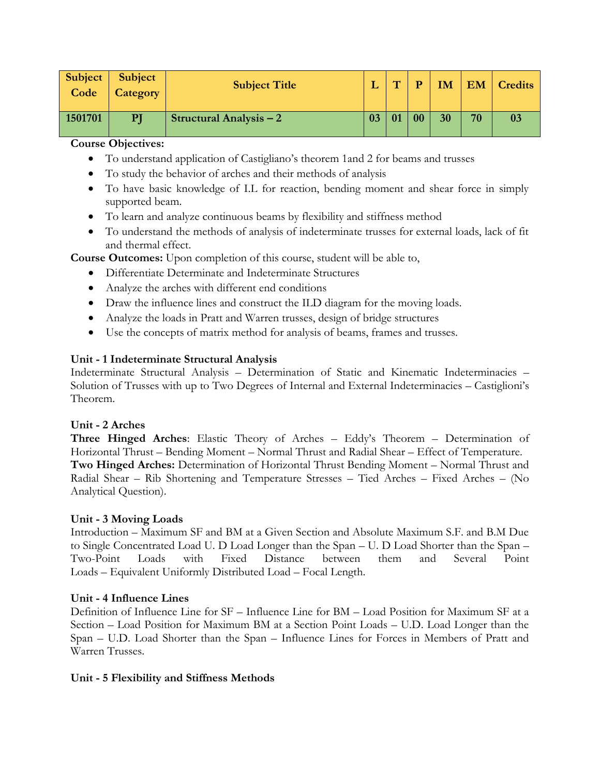| Subject<br>Code | Subject<br>Category | <b>Subject Title</b>           |    | $\overline{ }$ | D | IM | <b>EM</b> | <b>Credits</b> |
|-----------------|---------------------|--------------------------------|----|----------------|---|----|-----------|----------------|
| 1501701         | PI                  | <b>Structural Analysis – 2</b> | 03 | 01             |   | 30 | 70        | 03             |

- To understand application of Castigliano's theorem 1and 2 for beams and trusses
- To study the behavior of arches and their methods of analysis
- To have basic knowledge of I.L for reaction, bending moment and shear force in simply supported beam.
- To learn and analyze continuous beams by flexibility and stiffness method
- To understand the methods of analysis of indeterminate trusses for external loads, lack of fit and thermal effect.

**Course Outcomes:** Upon completion of this course, student will be able to,

- Differentiate Determinate and Indeterminate Structures
- Analyze the arches with different end conditions
- Draw the influence lines and construct the ILD diagram for the moving loads.
- Analyze the loads in Pratt and Warren trusses, design of bridge structures
- Use the concepts of matrix method for analysis of beams, frames and trusses.

## **Unit - 1 Indeterminate Structural Analysis**

Indeterminate Structural Analysis – Determination of Static and Kinematic Indeterminacies – Solution of Trusses with up to Two Degrees of Internal and External Indeterminacies – Castiglioni's Theorem.

## **Unit - 2 Arches**

**Three Hinged Arches**: Elastic Theory of Arches – Eddy's Theorem – Determination of Horizontal Thrust – Bending Moment – Normal Thrust and Radial Shear – Effect of Temperature. **Two Hinged Arches:** Determination of Horizontal Thrust Bending Moment – Normal Thrust and Radial Shear – Rib Shortening and Temperature Stresses – Tied Arches – Fixed Arches – (No Analytical Question).

## **Unit - 3 Moving Loads**

Introduction – Maximum SF and BM at a Given Section and Absolute Maximum S.F. and B.M Due to Single Concentrated Load U. D Load Longer than the Span – U. D Load Shorter than the Span – Two-Point Loads with Fixed Distance between them and Several Point Loads – Equivalent Uniformly Distributed Load – Focal Length.

## **Unit - 4 Influence Lines**

Definition of Influence Line for SF – Influence Line for BM – Load Position for Maximum SF at a Section – Load Position for Maximum BM at a Section Point Loads – U.D. Load Longer than the Span – U.D. Load Shorter than the Span – Influence Lines for Forces in Members of Pratt and Warren Trusses.

## **Unit - 5 Flexibility and Stiffness Methods**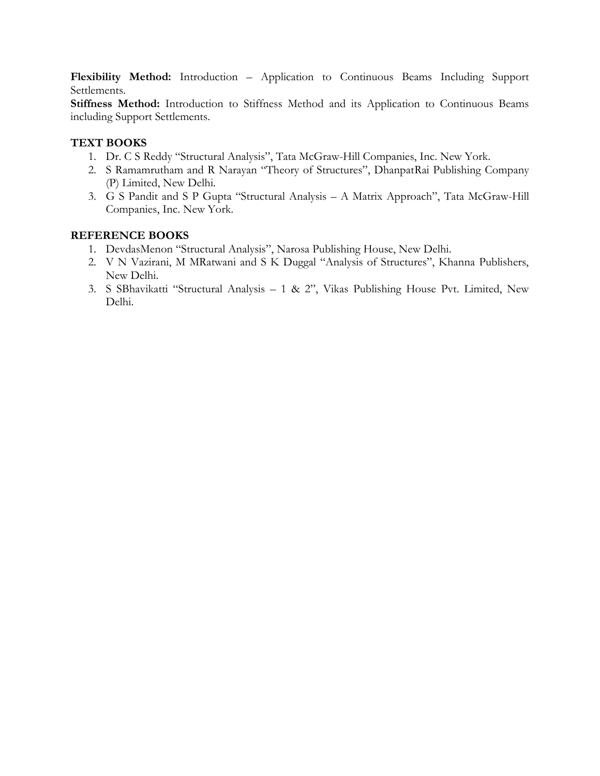**Flexibility Method:** Introduction – Application to Continuous Beams Including Support Settlements.

Stiffness Method: Introduction to Stiffness Method and its Application to Continuous Beams including Support Settlements.

## **TEXT BOOKS**

- 1. Dr. C S Reddy "Structural Analysis", Tata McGraw-Hill Companies, Inc. New York.
- 2. S Ramamrutham and R Narayan "Theory of Structures", DhanpatRai Publishing Company (P) Limited, New Delhi.
- 3. G S Pandit and S P Gupta "Structural Analysis A Matrix Approach", Tata McGraw-Hill Companies, Inc. New York.

- 1. DevdasMenon "Structural Analysis", Narosa Publishing House, New Delhi.
- 2. V N Vazirani, M MRatwani and S K Duggal "Analysis of Structures", Khanna Publishers, New Delhi.
- 3. S SBhavikatti "Structural Analysis 1 & 2", Vikas Publishing House Pvt. Limited, New Delhi.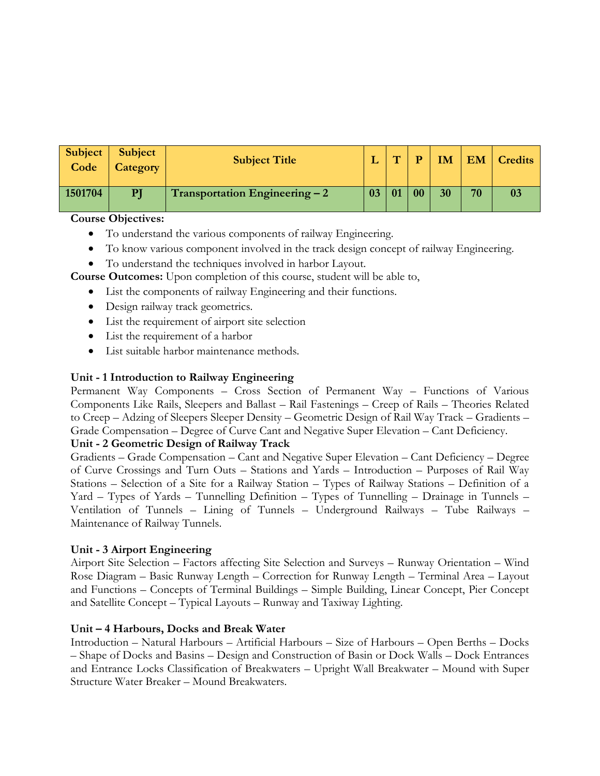| <b>Subject</b><br>Code | Subject<br>Category | <b>Subject Title</b>                  |    | $\overline{r}$ | D              | <b>IM</b> |    | <b>EM</b> Credits |
|------------------------|---------------------|---------------------------------------|----|----------------|----------------|-----------|----|-------------------|
| 1501704                | PI                  | <b>Transportation Engineering – 2</b> | 03 | 01             | 0 <sub>0</sub> | 30        | 70 | 03                |

- To understand the various components of railway Engineering.
- To know various component involved in the track design concept of railway Engineering.
- To understand the techniques involved in harbor Layout.

**Course Outcomes:** Upon completion of this course, student will be able to,

- List the components of railway Engineering and their functions.
- Design railway track geometrics.
- List the requirement of airport site selection
- List the requirement of a harbor
- List suitable harbor maintenance methods.

#### **Unit - 1 Introduction to Railway Engineering**

Permanent Way Components – Cross Section of Permanent Way – Functions of Various Components Like Rails, Sleepers and Ballast – Rail Fastenings – Creep of Rails – Theories Related to Creep – Adzing of Sleepers Sleeper Density – Geometric Design of Rail Way Track – Gradients – Grade Compensation – Degree of Curve Cant and Negative Super Elevation – Cant Deficiency.

#### **Unit - 2 Geometric Design of Railway Track**

Gradients – Grade Compensation – Cant and Negative Super Elevation – Cant Deficiency – Degree of Curve Crossings and Turn Outs – Stations and Yards – Introduction – Purposes of Rail Way Stations – Selection of a Site for a Railway Station – Types of Railway Stations – Definition of a Yard – Types of Yards – Tunnelling Definition – Types of Tunnelling – Drainage in Tunnels – Ventilation of Tunnels – Lining of Tunnels – Underground Railways – Tube Railways – Maintenance of Railway Tunnels.

#### **Unit - 3 Airport Engineering**

Airport Site Selection – Factors affecting Site Selection and Surveys – Runway Orientation – Wind Rose Diagram – Basic Runway Length – Correction for Runway Length – Terminal Area – Layout and Functions – Concepts of Terminal Buildings – Simple Building, Linear Concept, Pier Concept and Satellite Concept – Typical Layouts – Runway and Taxiway Lighting.

#### **Unit – 4 Harbours, Docks and Break Water**

Introduction – Natural Harbours – Artificial Harbours – Size of Harbours – Open Berths – Docks – Shape of Docks and Basins – Design and Construction of Basin or Dock Walls – Dock Entrances and Entrance Locks Classification of Breakwaters – Upright Wall Breakwater – Mound with Super Structure Water Breaker – Mound Breakwaters.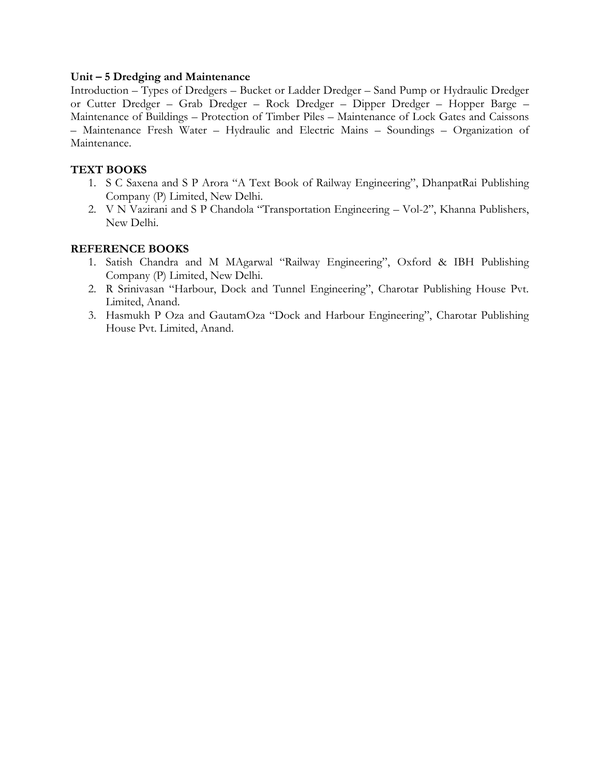#### **Unit – 5 Dredging and Maintenance**

Introduction – Types of Dredgers – Bucket or Ladder Dredger – Sand Pump or Hydraulic Dredger or Cutter Dredger – Grab Dredger – Rock Dredger – Dipper Dredger – Hopper Barge – Maintenance of Buildings – Protection of Timber Piles – Maintenance of Lock Gates and Caissons – Maintenance Fresh Water – Hydraulic and Electric Mains – Soundings – Organization of Maintenance.

## **TEXT BOOKS**

- 1. S C Saxena and S P Arora "A Text Book of Railway Engineering", DhanpatRai Publishing Company (P) Limited, New Delhi.
- 2. V N Vazirani and S P Chandola "Transportation Engineering Vol-2", Khanna Publishers, New Delhi.

- 1. Satish Chandra and M MAgarwal "Railway Engineering", Oxford & IBH Publishing Company (P) Limited, New Delhi.
- 2. R Srinivasan "Harbour, Dock and Tunnel Engineering", Charotar Publishing House Pvt. Limited, Anand.
- 3. Hasmukh P Oza and GautamOza "Dock and Harbour Engineering", Charotar Publishing House Pvt. Limited, Anand.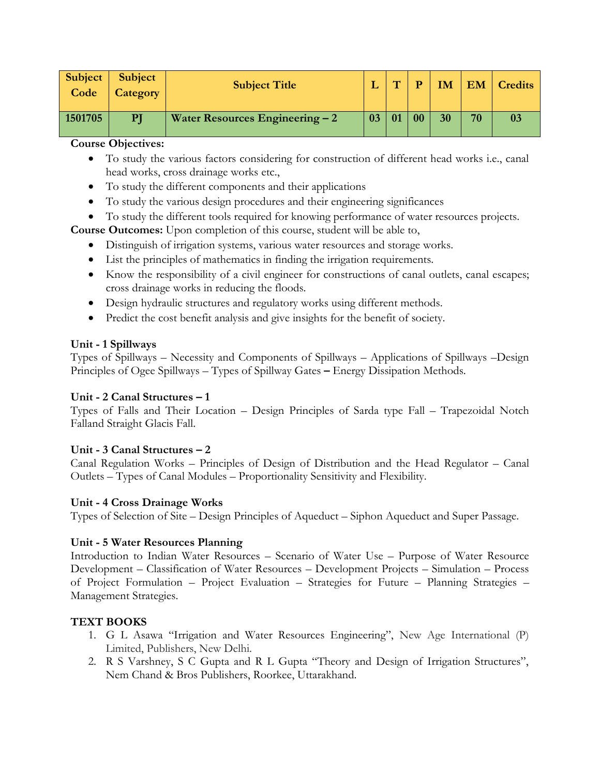| Subject<br>Code | <b>Subject</b><br><b>Category</b> | <b>Subject Title</b>             | <b>PTT</b> |    | <b>IM</b> |    | <b>EM</b> Credits |
|-----------------|-----------------------------------|----------------------------------|------------|----|-----------|----|-------------------|
| 1501705         | ${\bf P}$ J                       | Water Resources Engineering $-2$ | 01         | 00 | 30        | 70 | 03                |

- To study the various factors considering for construction of different head works i.e., canal head works, cross drainage works etc.,
- To study the different components and their applications
- To study the various design procedures and their engineering significances
- To study the different tools required for knowing performance of water resources projects.

**Course Outcomes:** Upon completion of this course, student will be able to,

- Distinguish of irrigation systems, various water resources and storage works.
- List the principles of mathematics in finding the irrigation requirements.
- Know the responsibility of a civil engineer for constructions of canal outlets, canal escapes; cross drainage works in reducing the floods.
- Design hydraulic structures and regulatory works using different methods.
- Predict the cost benefit analysis and give insights for the benefit of society.

#### **Unit - 1 Spillways**

Types of Spillways – Necessity and Components of Spillways – Applications of Spillways –Design Principles of Ogee Spillways – Types of Spillway Gates **–** Energy Dissipation Methods.

## **Unit - 2 Canal Structures – 1**

Types of Falls and Their Location – Design Principles of Sarda type Fall – Trapezoidal Notch Falland Straight Glacis Fall.

## **Unit - 3 Canal Structures – 2**

Canal Regulation Works – Principles of Design of Distribution and the Head Regulator – Canal Outlets – Types of Canal Modules – Proportionality Sensitivity and Flexibility.

## **Unit - 4 Cross Drainage Works**

Types of Selection of Site – Design Principles of Aqueduct – Siphon Aqueduct and Super Passage.

#### **Unit - 5 Water Resources Planning**

Introduction to Indian Water Resources – Scenario of Water Use – Purpose of Water Resource Development – Classification of Water Resources – Development Projects – Simulation – Process of Project Formulation – Project Evaluation – Strategies for Future – Planning Strategies – Management Strategies.

## **TEXT BOOKS**

- 1. G L Asawa "Irrigation and Water Resources Engineering", New Age International (P) Limited, Publishers, New Delhi.
- 2. R S Varshney, S C Gupta and R L Gupta "Theory and Design of Irrigation Structures", Nem Chand & Bros Publishers, Roorkee, Uttarakhand.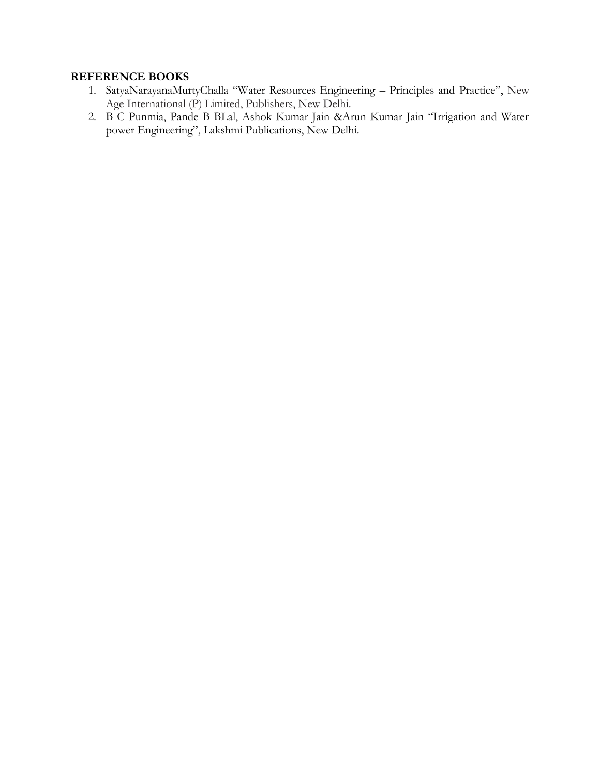- 1. SatyaNarayanaMurtyChalla "Water Resources Engineering Principles and Practice", New Age International (P) Limited, Publishers, New Delhi.
- 2. B C Punmia, Pande B BLal, Ashok Kumar Jain &Arun Kumar Jain "Irrigation and Water power Engineering", Lakshmi Publications, New Delhi.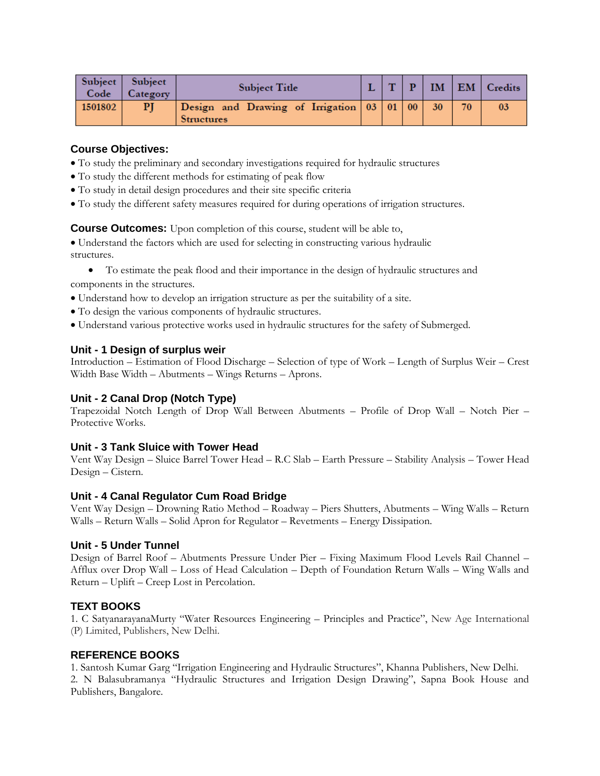| Subject<br>Code | Subject<br>Category | Subject Title                                                     | <b>PTS</b> |  |                 | $IM$   EM   Credits |
|-----------------|---------------------|-------------------------------------------------------------------|------------|--|-----------------|---------------------|
| 1501802         | PI                  | Design and Drawing of Irrigation 03 01 00 30<br><b>Structures</b> |            |  | 70 <sub>1</sub> | 03                  |

- To study the preliminary and secondary investigations required for hydraulic structures
- To study the different methods for estimating of peak flow
- To study in detail design procedures and their site specific criteria
- To study the different safety measures required for during operations of irrigation structures.

**Course Outcomes:** Upon completion of this course, student will be able to,

Understand the factors which are used for selecting in constructing various hydraulic structures.

- To estimate the peak flood and their importance in the design of hydraulic structures and components in the structures.
- Understand how to develop an irrigation structure as per the suitability of a site.
- To design the various components of hydraulic structures.
- Understand various protective works used in hydraulic structures for the safety of Submerged.

#### **Unit - 1 Design of surplus weir**

Introduction – Estimation of Flood Discharge – Selection of type of Work – Length of Surplus Weir – Crest Width Base Width – Abutments – Wings Returns – Aprons.

#### **Unit - 2 Canal Drop (Notch Type)**

Trapezoidal Notch Length of Drop Wall Between Abutments – Profile of Drop Wall – Notch Pier – Protective Works.

#### **Unit - 3 Tank Sluice with Tower Head**

Vent Way Design – Sluice Barrel Tower Head – R.C Slab – Earth Pressure – Stability Analysis – Tower Head Design – Cistern.

#### **Unit - 4 Canal Regulator Cum Road Bridge**

Vent Way Design – Drowning Ratio Method – Roadway – Piers Shutters, Abutments – Wing Walls – Return Walls – Return Walls – Solid Apron for Regulator – Revetments – Energy Dissipation.

#### **Unit - 5 Under Tunnel**

Design of Barrel Roof – Abutments Pressure Under Pier – Fixing Maximum Flood Levels Rail Channel – Afflux over Drop Wall – Loss of Head Calculation – Depth of Foundation Return Walls – Wing Walls and Return – Uplift – Creep Lost in Percolation.

#### **TEXT BOOKS**

1. C SatyanarayanaMurty "Water Resources Engineering – Principles and Practice", New Age International (P) Limited, Publishers, New Delhi.

#### **REFERENCE BOOKS**

1. Santosh Kumar Garg "Irrigation Engineering and Hydraulic Structures", Khanna Publishers, New Delhi. 2. N Balasubramanya "Hydraulic Structures and Irrigation Design Drawing", Sapna Book House and Publishers, Bangalore.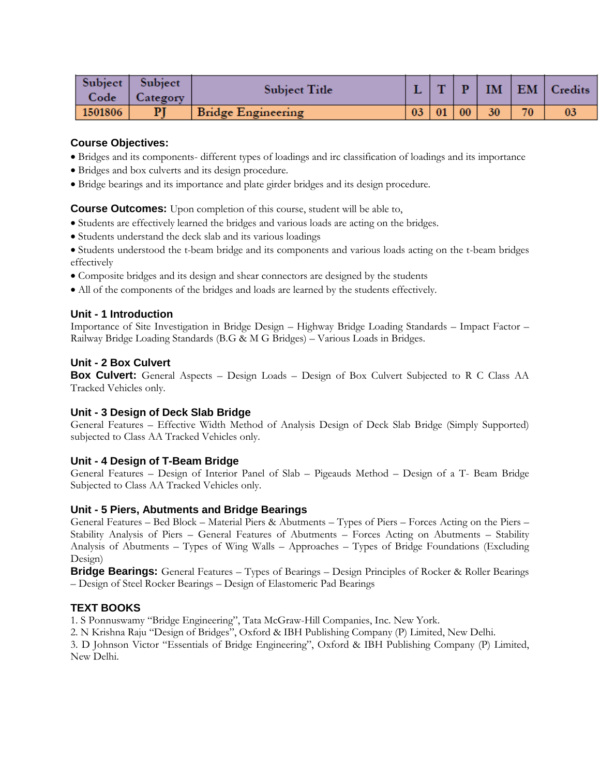| Subject<br>Code | Subject<br>Category | Subject Title      |                 | $\mathbf{H}$ |    | <b>IM</b> |    | EM   Credits |
|-----------------|---------------------|--------------------|-----------------|--------------|----|-----------|----|--------------|
| 1501806         | PI                  | Bridge Engineering | $\overline{03}$ | 01           | 00 | 30        | 70 | 03           |

- Bridges and its components- different types of loadings and irc classification of loadings and its importance
- Bridges and box culverts and its design procedure.
- Bridge bearings and its importance and plate girder bridges and its design procedure.

**Course Outcomes:** Upon completion of this course, student will be able to,

- Students are effectively learned the bridges and various loads are acting on the bridges.
- Students understand the deck slab and its various loadings
- Students understood the t-beam bridge and its components and various loads acting on the t-beam bridges effectively
- Composite bridges and its design and shear connectors are designed by the students
- All of the components of the bridges and loads are learned by the students effectively.

#### **Unit - 1 Introduction**

Importance of Site Investigation in Bridge Design – Highway Bridge Loading Standards – Impact Factor – Railway Bridge Loading Standards (B.G & M G Bridges) – Various Loads in Bridges.

## **Unit - 2 Box Culvert**

**Box Culvert:** General Aspects – Design Loads – Design of Box Culvert Subjected to R C Class AA Tracked Vehicles only.

#### **Unit - 3 Design of Deck Slab Bridge**

General Features – Effective Width Method of Analysis Design of Deck Slab Bridge (Simply Supported) subjected to Class AA Tracked Vehicles only.

## **Unit - 4 Design of T-Beam Bridge**

General Features – Design of Interior Panel of Slab – Pigeauds Method – Design of a T- Beam Bridge Subjected to Class AA Tracked Vehicles only.

## **Unit - 5 Piers, Abutments and Bridge Bearings**

General Features – Bed Block – Material Piers & Abutments – Types of Piers – Forces Acting on the Piers – Stability Analysis of Piers – General Features of Abutments – Forces Acting on Abutments – Stability Analysis of Abutments – Types of Wing Walls – Approaches – Types of Bridge Foundations (Excluding Design)

**Bridge Bearings:** General Features – Types of Bearings – Design Principles of Rocker & Roller Bearings – Design of Steel Rocker Bearings – Design of Elastomeric Pad Bearings

## **TEXT BOOKS**

1. S Ponnuswamy "Bridge Engineering", Tata McGraw-Hill Companies, Inc. New York.

2. N Krishna Raju "Design of Bridges", Oxford & IBH Publishing Company (P) Limited, New Delhi.

3. D Johnson Victor "Essentials of Bridge Engineering", Oxford & IBH Publishing Company (P) Limited, New Delhi.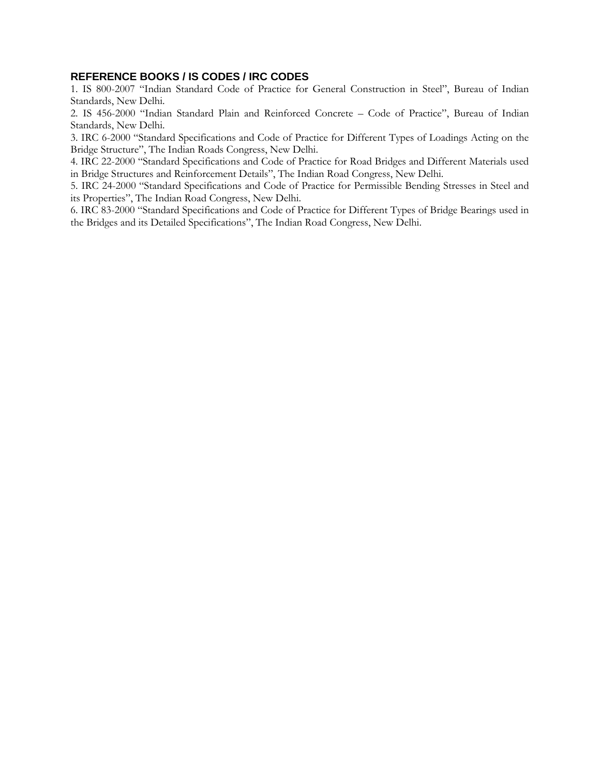#### **REFERENCE BOOKS / IS CODES / IRC CODES**

1. IS 800-2007 "Indian Standard Code of Practice for General Construction in Steel", Bureau of Indian Standards, New Delhi.

2. IS 456-2000 "Indian Standard Plain and Reinforced Concrete – Code of Practice", Bureau of Indian Standards, New Delhi.

3. IRC 6-2000 "Standard Specifications and Code of Practice for Different Types of Loadings Acting on the Bridge Structure", The Indian Roads Congress, New Delhi.

4. IRC 22-2000 "Standard Specifications and Code of Practice for Road Bridges and Different Materials used in Bridge Structures and Reinforcement Details", The Indian Road Congress, New Delhi.

5. IRC 24-2000 "Standard Specifications and Code of Practice for Permissible Bending Stresses in Steel and its Properties", The Indian Road Congress, New Delhi.

6. IRC 83-2000 "Standard Specifications and Code of Practice for Different Types of Bridge Bearings used in the Bridges and its Detailed Specifications", The Indian Road Congress, New Delhi.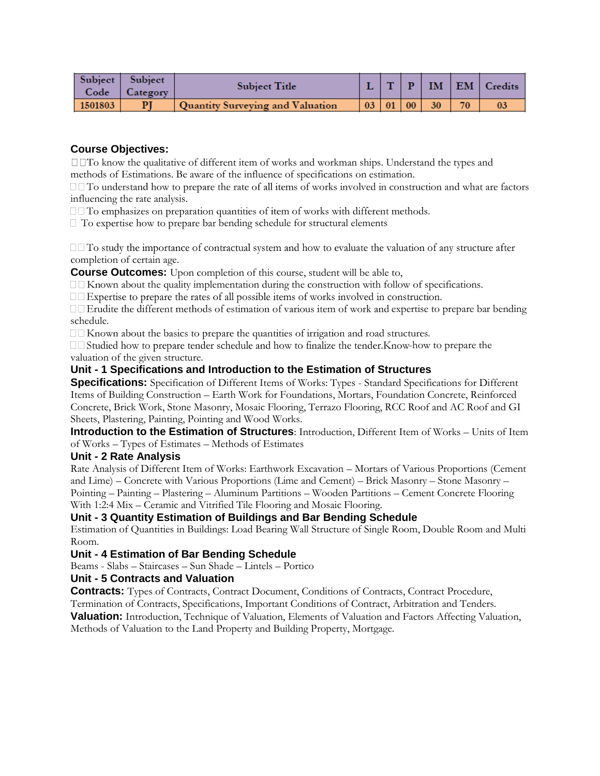| Subject<br>Code | Subject<br>Category | Subject Title                    |    |                 | $\mathbf{p}$ | IM |    | $\Box$ EM $\Box$ Credits |
|-----------------|---------------------|----------------------------------|----|-----------------|--------------|----|----|--------------------------|
|                 |                     |                                  |    |                 |              |    |    |                          |
| 1501803         |                     | Quantity Surveying and Valuation | 03 | $\overline{01}$ | 00           | 30 | 70 | 03                       |

 $\Box$  To know the qualitative of different item of works and workman ships. Understand the types and methods of Estimations. Be aware of the influence of specifications on estimation.

 $\Box$  To understand how to prepare the rate of all items of works involved in construction and what are factors influencing the rate analysis.

 $\Box$  To emphasizes on preparation quantities of item of works with different methods.

 $\Box$  To expertise how to prepare bar bending schedule for structural elements

 $\Box$  To study the importance of contractual system and how to evaluate the valuation of any structure after completion of certain age.

**Course Outcomes:** Upon completion of this course, student will be able to,

 $\square \square$  Known about the quality implementation during the construction with follow of specifications.

 $\Box$  Expertise to prepare the rates of all possible items of works involved in construction.

 $\square$  Erudite the different methods of estimation of various item of work and expertise to prepare bar bending schedule.

□□ Known about the basics to prepare the quantities of irrigation and road structures.

 $\Box$  Studied how to prepare tender schedule and how to finalize the tender. Know-how to prepare the valuation of the given structure.

## **Unit - 1 Specifications and Introduction to the Estimation of Structures**

**Specifications:** Specification of Different Items of Works: Types - Standard Specifications for Different Items of Building Construction – Earth Work for Foundations, Mortars, Foundation Concrete, Reinforced Concrete, Brick Work, Stone Masonry, Mosaic Flooring, Terrazo Flooring, RCC Roof and AC Roof and GI Sheets, Plastering, Painting, Pointing and Wood Works.

**Introduction to the Estimation of Structures**: Introduction, Different Item of Works – Units of Item of Works – Types of Estimates – Methods of Estimates

## **Unit - 2 Rate Analysis**

Rate Analysis of Different Item of Works: Earthwork Excavation – Mortars of Various Proportions (Cement and Lime) – Concrete with Various Proportions (Lime and Cement) – Brick Masonry – Stone Masonry – Pointing – Painting – Plastering – Aluminum Partitions – Wooden Partitions – Cement Concrete Flooring With 1:2:4 Mix – Ceramic and Vitrified Tile Flooring and Mosaic Flooring.

## **Unit - 3 Quantity Estimation of Buildings and Bar Bending Schedule**

Estimation of Quantities in Buildings: Load Bearing Wall Structure of Single Room, Double Room and Multi Room.

## **Unit - 4 Estimation of Bar Bending Schedule**

Beams - Slabs – Staircases – Sun Shade – Lintels – Portico

#### **Unit - 5 Contracts and Valuation**

**Contracts:** Types of Contracts, Contract Document, Conditions of Contracts, Contract Procedure,

Termination of Contracts, Specifications, Important Conditions of Contract, Arbitration and Tenders.

**Valuation:** Introduction, Technique of Valuation, Elements of Valuation and Factors Affecting Valuation, Methods of Valuation to the Land Property and Building Property, Mortgage.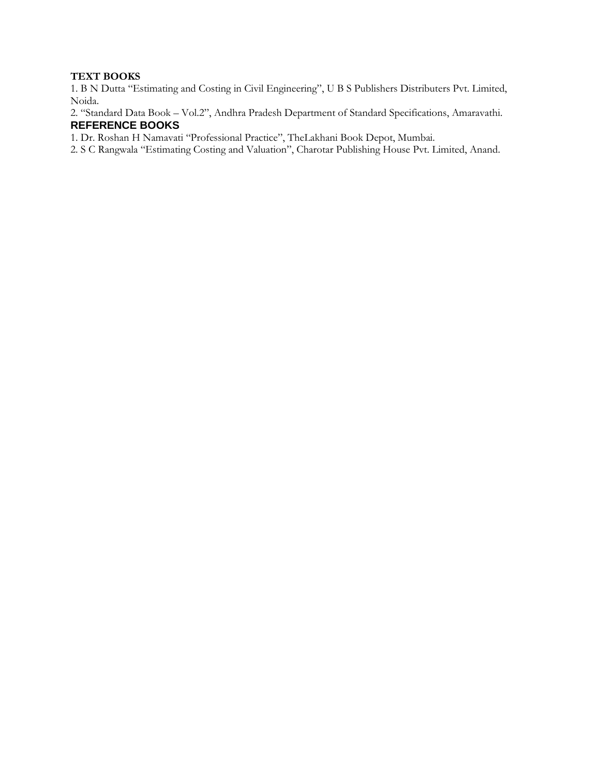#### **TEXT BOOKS**

1. B N Dutta "Estimating and Costing in Civil Engineering", U B S Publishers Distributers Pvt. Limited, Noida.

2. "Standard Data Book – Vol.2", Andhra Pradesh Department of Standard Specifications, Amaravathi. **REFERENCE BOOKS** 

1. Dr. Roshan H Namavati "Professional Practice", TheLakhani Book Depot, Mumbai.

2. S C Rangwala "Estimating Costing and Valuation", Charotar Publishing House Pvt. Limited, Anand.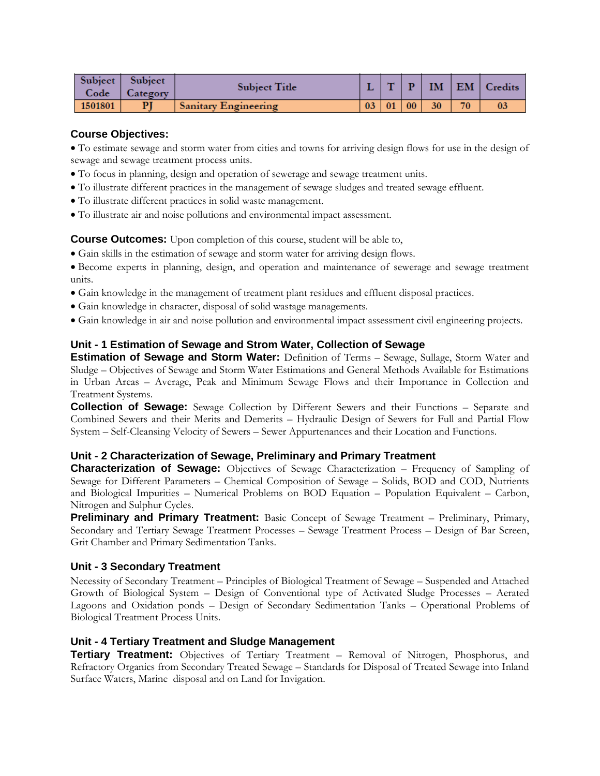| Subject | <b>Subject</b><br>Code   Category | <b>Subject Title</b>        |  |    |    | $\mathbf{T} \mid \mathbf{P} \mid \mathbf{IM} \mid \mathbf{EM} \mid \mathbf{C}_{\mathbf{redits}}$ |
|---------|-----------------------------------|-----------------------------|--|----|----|--------------------------------------------------------------------------------------------------|
| 1501801 | PI                                | <b>Sanitary Engineering</b> |  | 30 | 70 | 03                                                                                               |

To estimate sewage and storm water from cities and towns for arriving design flows for use in the design of sewage and sewage treatment process units.

- To focus in planning, design and operation of sewerage and sewage treatment units.
- To illustrate different practices in the management of sewage sludges and treated sewage effluent.
- To illustrate different practices in solid waste management.
- To illustrate air and noise pollutions and environmental impact assessment.

**Course Outcomes:** Upon completion of this course, student will be able to,

Gain skills in the estimation of sewage and storm water for arriving design flows.

Become experts in planning, design, and operation and maintenance of sewerage and sewage treatment units.

- Gain knowledge in the management of treatment plant residues and effluent disposal practices.
- Gain knowledge in character, disposal of solid wastage managements.
- Gain knowledge in air and noise pollution and environmental impact assessment civil engineering projects.

#### **Unit - 1 Estimation of Sewage and Strom Water, Collection of Sewage**

**Estimation of Sewage and Storm Water:** Definition of Terms – Sewage, Sullage, Storm Water and Sludge – Objectives of Sewage and Storm Water Estimations and General Methods Available for Estimations in Urban Areas – Average, Peak and Minimum Sewage Flows and their Importance in Collection and Treatment Systems.

**Collection of Sewage:** Sewage Collection by Different Sewers and their Functions – Separate and Combined Sewers and their Merits and Demerits – Hydraulic Design of Sewers for Full and Partial Flow System – Self-Cleansing Velocity of Sewers – Sewer Appurtenances and their Location and Functions.

#### **Unit - 2 Characterization of Sewage, Preliminary and Primary Treatment**

**Characterization of Sewage:** Objectives of Sewage Characterization – Frequency of Sampling of Sewage for Different Parameters – Chemical Composition of Sewage – Solids, BOD and COD, Nutrients and Biological Impurities – Numerical Problems on BOD Equation – Population Equivalent – Carbon, Nitrogen and Sulphur Cycles.

**Preliminary and Primary Treatment:** Basic Concept of Sewage Treatment – Preliminary, Primary, Secondary and Tertiary Sewage Treatment Processes – Sewage Treatment Process – Design of Bar Screen, Grit Chamber and Primary Sedimentation Tanks.

#### **Unit - 3 Secondary Treatment**

Necessity of Secondary Treatment – Principles of Biological Treatment of Sewage – Suspended and Attached Growth of Biological System – Design of Conventional type of Activated Sludge Processes – Aerated Lagoons and Oxidation ponds – Design of Secondary Sedimentation Tanks – Operational Problems of Biological Treatment Process Units.

#### **Unit - 4 Tertiary Treatment and Sludge Management**

**Tertiary Treatment:** Objectives of Tertiary Treatment – Removal of Nitrogen, Phosphorus, and Refractory Organics from Secondary Treated Sewage – Standards for Disposal of Treated Sewage into Inland Surface Waters, Marine disposal and on Land for Invigation.